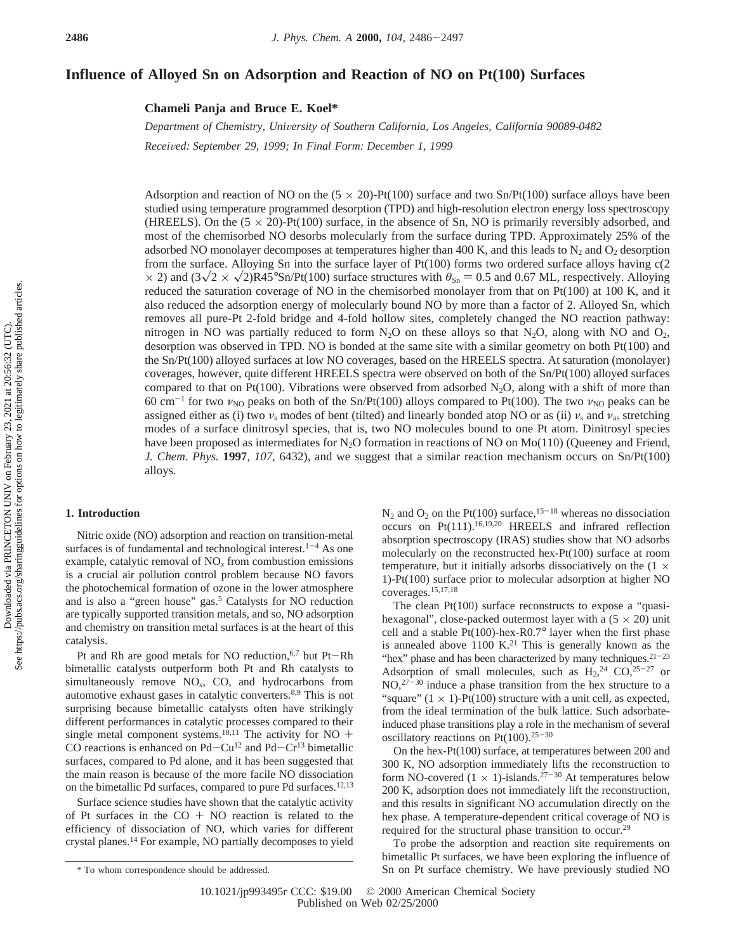# **Influence of Alloyed Sn on Adsorption and Reaction of NO on Pt(100) Surfaces**

**Chameli Panja and Bruce E. Koel\***

*Department of Chemistry, Uni*V*ersity of Southern California, Los Angeles, California 90089-0482 Recei*V*ed: September 29, 1999; In Final Form: December 1, 1999*

Adsorption and reaction of NO on the  $(5 \times 20)$ -Pt(100) surface and two Sn/Pt(100) surface alloys have been studied using temperature programmed desorption (TPD) and high-resolution electron energy loss spectroscopy (HREELS). On the  $(5 \times 20)$ -Pt(100) surface, in the absence of Sn, NO is primarily reversibly adsorbed, and most of the chemisorbed NO desorbs molecularly from the surface during TPD. Approximately 25% of the adsorbed NO monolayer decomposes at temperatures higher than 400 K, and this leads to  $N_2$  and  $O_2$  desorption from the surface. Alloying Sn into the surface layer of Pt(100) forms two ordered surface alloys having c(2  $\times$  2) and  $(3\sqrt{2} \times \sqrt{2})R45^{\circ}Sn/Pt(100)$  surface structures with  $\theta_{Sn} = 0.5$  and 0.67 ML, respectively. Alloying reduced the saturation coverage of NO in the chemisorbed monolayer from that on  $Pt(100)$  at 100 K, and it also reduced the adsorption energy of molecularly bound NO by more than a factor of 2. Alloyed Sn, which removes all pure-Pt 2-fold bridge and 4-fold hollow sites, completely changed the NO reaction pathway: nitrogen in NO was partially reduced to form  $N_2O$  on these alloys so that  $N_2O$ , along with NO and  $O_2$ , desorption was observed in TPD. NO is bonded at the same site with a similar geometry on both Pt(100) and the Sn/Pt(100) alloyed surfaces at low NO coverages, based on the HREELS spectra. At saturation (monolayer) coverages, however, quite different HREELS spectra were observed on both of the Sn/Pt(100) alloyed surfaces compared to that on Pt(100). Vibrations were observed from adsorbed  $N_2O$ , along with a shift of more than 60 cm<sup>-1</sup> for two  $\nu_{\text{NO}}$  peaks on both of the Sn/Pt(100) alloys compared to Pt(100). The two  $\nu_{\text{NO}}$  peaks can be assigned either as (i) two  $\nu_s$  modes of bent (tilted) and linearly bonded atop NO or as (ii)  $\nu_s$  and  $\nu_{as}$  stretching modes of a surface dinitrosyl species, that is, two NO molecules bound to one Pt atom. Dinitrosyl species have been proposed as intermediates for  $N_2O$  formation in reactions of NO on Mo(110) (Queeney and Friend, *J. Chem. Phys.* **1997**, *107*, 6432), and we suggest that a similar reaction mechanism occurs on Sn/Pt(100) alloys.

# **1. Introduction**

Nitric oxide (NO) adsorption and reaction on transition-metal surfaces is of fundamental and technological interest.<sup>1-4</sup> As one example, catalytic removal of NO*<sup>x</sup>* from combustion emissions is a crucial air pollution control problem because NO favors the photochemical formation of ozone in the lower atmosphere and is also a "green house" gas.<sup>5</sup> Catalysts for NO reduction are typically supported transition metals, and so, NO adsorption and chemistry on transition metal surfaces is at the heart of this catalysis.

Pt and Rh are good metals for NO reduction,<sup>6,7</sup> but Pt-Rh bimetallic catalysts outperform both Pt and Rh catalysts to simultaneously remove NO*x*, CO, and hydrocarbons from automotive exhaust gases in catalytic converters.8,9 This is not surprising because bimetallic catalysts often have strikingly different performances in catalytic processes compared to their single metal component systems.<sup>10,11</sup> The activity for NO + CO reactions is enhanced on  $Pd - Cu^{12}$  and  $Pd - Cr^{13}$  bimetallic surfaces, compared to Pd alone, and it has been suggested that the main reason is because of the more facile NO dissociation on the bimetallic Pd surfaces, compared to pure Pd surfaces.12,13

Surface science studies have shown that the catalytic activity of Pt surfaces in the  $CO + NO$  reaction is related to the efficiency of dissociation of NO, which varies for different crystal planes.14 For example, NO partially decomposes to yield  $N_2$  and  $O_2$  on the Pt(100) surface,<sup>15-18</sup> whereas no dissociation occurs on Pt(111).16,19,20 HREELS and infrared reflection absorption spectroscopy (IRAS) studies show that NO adsorbs molecularly on the reconstructed hex-Pt(100) surface at room temperature, but it initially adsorbs dissociatively on the  $(1 \times$ 1)-Pt(100) surface prior to molecular adsorption at higher NO coverages.15,17,18

The clean Pt(100) surface reconstructs to expose a "quasihexagonal", close-packed outermost layer with a  $(5 \times 20)$  unit cell and a stable Pt(100)-hex-R0.7° layer when the first phase is annealed above  $1100$  K.<sup>21</sup> This is generally known as the "hex" phase and has been characterized by many techniques. $21-23$ Adsorption of small molecules, such as  $H_2$ ,<sup>24</sup> CO,<sup>25-27</sup> or  $NO<sub>1</sub><sup>27-30</sup>$  induce a phase transition from the hex structure to a "square"  $(1 \times 1)$ -Pt $(100)$  structure with a unit cell, as expected, from the ideal termination of the bulk lattice. Such adsorbateinduced phase transitions play a role in the mechanism of several oscillatory reactions on Pt(100).<sup>25-30</sup>

On the hex-Pt(100) surface, at temperatures between 200 and 300 K, NO adsorption immediately lifts the reconstruction to form NO-covered  $(1 \times 1)$ -islands.<sup>27-30</sup> At temperatures below 200 K, adsorption does not immediately lift the reconstruction, and this results in significant NO accumulation directly on the hex phase. A temperature-dependent critical coverage of NO is required for the structural phase transition to occur.29

To probe the adsorption and reaction site requirements on bimetallic Pt surfaces, we have been exploring the influence of \* To whom correspondence should be addressed. Sn on Pt surface chemistry. We have previously studied NO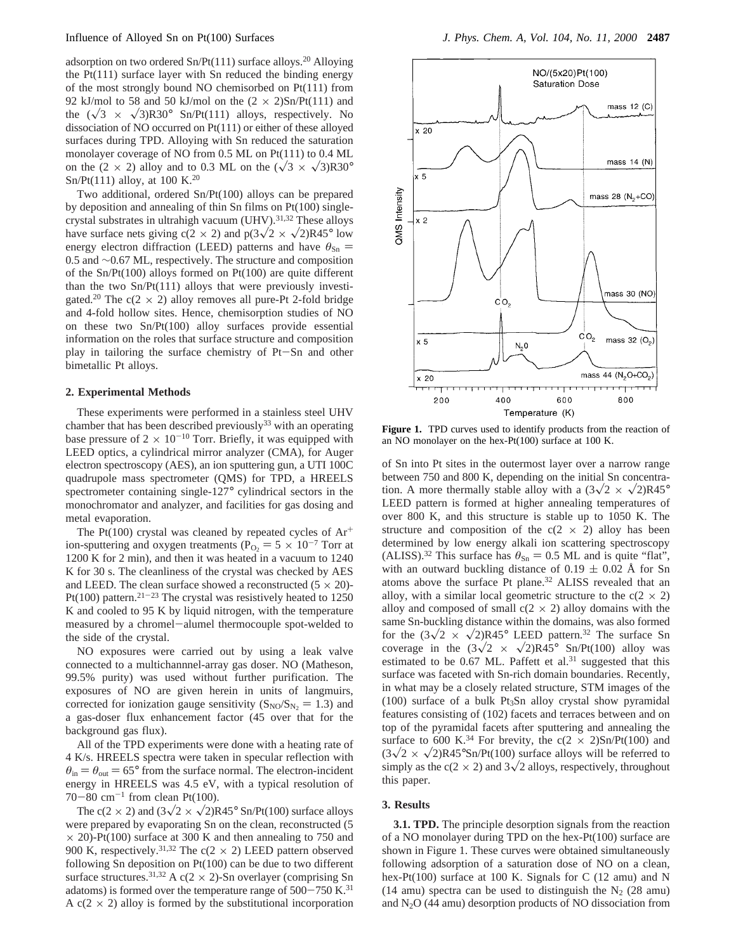adsorption on two ordered  $Sn/Pt(111)$  surface alloys.<sup>20</sup> Alloying the  $Pt(111)$  surface layer with Sn reduced the binding energy of the most strongly bound NO chemisorbed on Pt(111) from 92 kJ/mol to 58 and 50 kJ/mol on the  $(2 \times 2)$ Sn/Pt(111) and the  $(\sqrt{3} \times \sqrt{3})R30^\circ$  Sn/Pt(111) alloys, respectively. No dissociation of NO occurred on Pt(111) or either of these alloyed surfaces during TPD. Alloying with Sn reduced the saturation monolayer coverage of NO from 0.5 ML on Pt(111) to 0.4 ML on the (2  $\times$  2) alloy and to 0.3 ML on the ( $\sqrt{3} \times \sqrt{3}$ )R30° Sn/Pt(111) alloy, at 100 K.<sup>20</sup>

Two additional, ordered Sn/Pt(100) alloys can be prepared by deposition and annealing of thin Sn films on Pt(100) singlecrystal substrates in ultrahigh vacuum (UHV).<sup>31,32</sup> These alloys have surface nets giving  $c(2 \times 2)$  and  $p(3\sqrt{2} \times \sqrt{2})R45^{\circ}$  low energy electron diffraction (LEED) patterns and have  $\theta_{\text{Sn}} =$ 0.5 and ∼0.67 ML, respectively. The structure and composition of the Sn/Pt(100) alloys formed on Pt(100) are quite different than the two Sn/Pt(111) alloys that were previously investigated.<sup>20</sup> The c(2  $\times$  2) alloy removes all pure-Pt 2-fold bridge and 4-fold hollow sites. Hence, chemisorption studies of NO on these two Sn/Pt(100) alloy surfaces provide essential information on the roles that surface structure and composition play in tailoring the surface chemistry of Pt-Sn and other bimetallic Pt alloys.

### **2. Experimental Methods**

These experiments were performed in a stainless steel UHV chamber that has been described previously<sup>33</sup> with an operating base pressure of  $2 \times 10^{-10}$  Torr. Briefly, it was equipped with LEED optics, a cylindrical mirror analyzer (CMA), for Auger electron spectroscopy (AES), an ion sputtering gun, a UTI 100C quadrupole mass spectrometer (QMS) for TPD, a HREELS spectrometer containing single-127° cylindrical sectors in the monochromator and analyzer, and facilities for gas dosing and metal evaporation.

The Pt(100) crystal was cleaned by repeated cycles of  $Ar^+$ ion-sputtering and oxygen treatments ( $P_{\text{O}_2} = 5 \times 10^{-7}$  Torr at 1200 K for 2 min), and then it was heated in a vacuum to 1240 K for 30 s. The cleanliness of the crystal was checked by AES and LEED. The clean surface showed a reconstructed  $(5 \times 20)$ -Pt(100) pattern.<sup>21-23</sup> The crystal was resistively heated to 1250 K and cooled to 95 K by liquid nitrogen, with the temperature measured by a chromel-alumel thermocouple spot-welded to the side of the crystal.

NO exposures were carried out by using a leak valve connected to a multichannnel-array gas doser. NO (Matheson, 99.5% purity) was used without further purification. The exposures of NO are given herein in units of langmuirs, corrected for ionization gauge sensitivity ( $S_{NO}/S_{N_2} = 1.3$ ) and a gas-doser flux enhancement factor (45 over that for the background gas flux).

All of the TPD experiments were done with a heating rate of 4 K/s. HREELS spectra were taken in specular reflection with  $heta_{\rm in} = \theta_{\rm out} = 65^{\circ}$  from the surface normal. The electron-incident energy in HREELS was 4.5 eV, with a typical resolution of 70-80 cm<sup>-1</sup> from clean Pt(100).

The c(2  $\times$  2) and (3 $\sqrt{2} \times \sqrt{2}$ )R45° Sn/Pt(100) surface alloys were prepared by evaporating Sn on the clean, reconstructed (5  $\times$  20)-Pt(100) surface at 300 K and then annealing to 750 and 900 K, respectively.<sup>31,32</sup> The c( $2 \times 2$ ) LEED pattern observed following  $\hat{S}$ n deposition on Pt(100) can be due to two different surface structures.<sup>31,32</sup> A c( $2 \times 2$ )-Sn overlayer (comprising Sn adatoms) is formed over the temperature range of  $500-750$  K.<sup>31</sup> A  $c(2 \times 2)$  alloy is formed by the substitutional incorporation



Figure 1. TPD curves used to identify products from the reaction of an NO monolayer on the hex-Pt(100) surface at 100 K.

of Sn into Pt sites in the outermost layer over a narrow range between 750 and 800 K, depending on the initial Sn concentration. A more thermally stable alloy with a  $(3\sqrt{2} \times \sqrt{2})R45^{\circ}$ LEED pattern is formed at higher annealing temperatures of over 800 K, and this structure is stable up to 1050 K. The structure and composition of the  $c(2 \times 2)$  alloy has been determined by low energy alkali ion scattering spectroscopy (ALISS).<sup>32</sup> This surface has  $\theta_{\text{Sn}} = 0.5$  ML and is quite "flat", with an outward buckling distance of  $0.19 \pm 0.02$  Å for Sn atoms above the surface Pt plane.32 ALISS revealed that an alloy, with a similar local geometric structure to the  $c(2 \times 2)$ alloy and composed of small  $c(2 \times 2)$  alloy domains with the same Sn-buckling distance within the domains, was also formed for the  $(3\sqrt{2} \times \sqrt{2})R45^{\circ}$  LEED pattern.<sup>32</sup> The surface Sn coverage in the  $(3\sqrt{2} \times \sqrt{2})R45^{\circ}$  Sn/Pt(100) alloy was estimated to be 0.67 ML. Paffett et al.<sup>31</sup> suggested that this surface was faceted with Sn-rich domain boundaries. Recently, in what may be a closely related structure, STM images of the (100) surface of a bulk Pt3Sn alloy crystal show pyramidal features consisting of (102) facets and terraces between and on top of the pyramidal facets after sputtering and annealing the surface to 600 K.<sup>34</sup> For brevity, the c(2  $\times$  2)Sn/Pt(100) and  $(3\sqrt{2} \times \sqrt{2})R45^{\circ}Sn/Pt(100)$  surface alloys will be referred to simply as the c( $2 \times 2$ ) and  $3\sqrt{2}$  alloys, respectively, throughout this paper.

## **3. Results**

**3.1. TPD.** The principle desorption signals from the reaction of a NO monolayer during TPD on the hex-Pt(100) surface are shown in Figure 1. These curves were obtained simultaneously following adsorption of a saturation dose of NO on a clean, hex-Pt(100) surface at 100 K. Signals for C (12 amu) and N (14 amu) spectra can be used to distinguish the  $N_2$  (28 amu) and  $N<sub>2</sub>O$  (44 amu) desorption products of NO dissociation from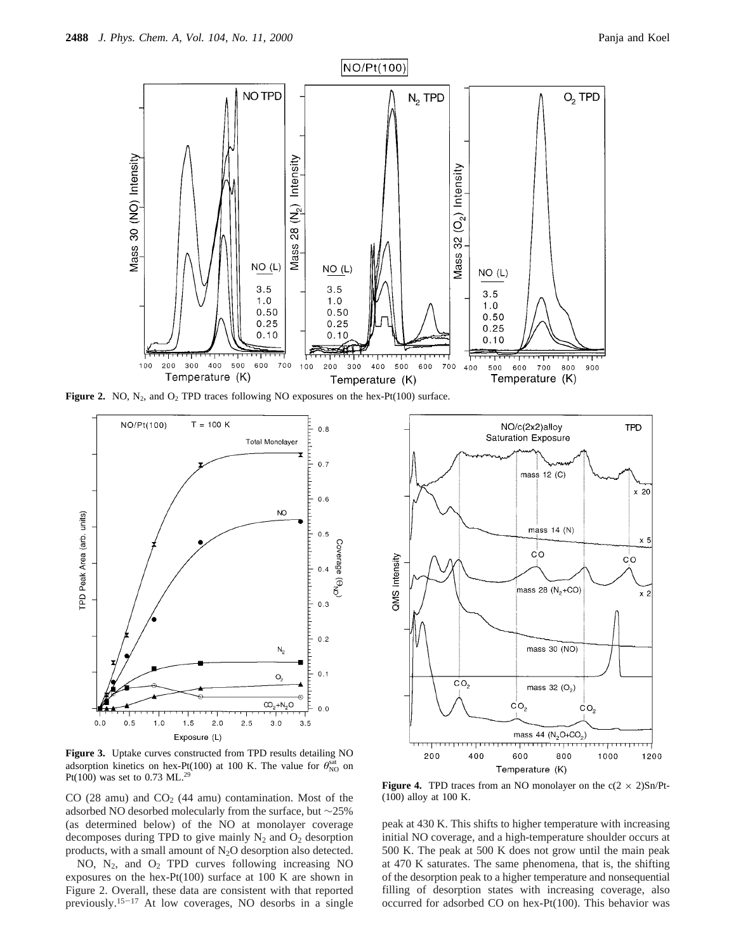

**Figure 2.** NO,  $N_2$ , and  $O_2$  TPD traces following NO exposures on the hex-Pt(100) surface.



**Figure 3.** Uptake curves constructed from TPD results detailing NO adsorption kinetics on hex-Pt(100) at 100 K. The value for  $\theta_{\text{NO}}^{\text{sat}}$  on Pt(100) was set to 0.73 ML.29

CO (28 amu) and  $CO<sub>2</sub>$  (44 amu) contamination. Most of the adsorbed NO desorbed molecularly from the surface, but ∼25% (as determined below) of the NO at monolayer coverage decomposes during TPD to give mainly  $N_2$  and  $O_2$  desorption products, with a small amount of N2O desorption also detected.

NO, N2, and O2 TPD curves following increasing NO exposures on the hex-Pt(100) surface at 100 K are shown in Figure 2. Overall, these data are consistent with that reported previously.15-<sup>17</sup> At low coverages, NO desorbs in a single



**Figure 4.** TPD traces from an NO monolayer on the  $c(2 \times 2)Sn/Pt$ -(100) alloy at 100 K.

peak at 430 K. This shifts to higher temperature with increasing initial NO coverage, and a high-temperature shoulder occurs at 500 K. The peak at 500 K does not grow until the main peak at 470 K saturates. The same phenomena, that is, the shifting of the desorption peak to a higher temperature and nonsequential filling of desorption states with increasing coverage, also occurred for adsorbed CO on hex-Pt(100). This behavior was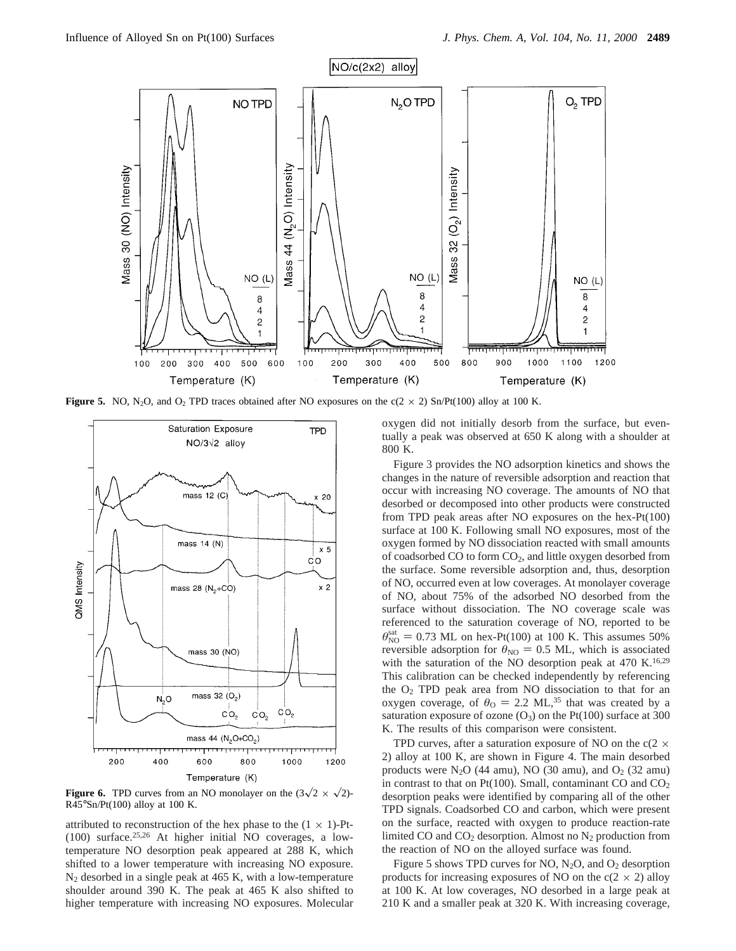

**Figure 5.** NO, N<sub>2</sub>O, and O<sub>2</sub> TPD traces obtained after NO exposures on the  $c(2 \times 2)$  Sn/Pt(100) alloy at 100 K.



**Figure 6.** TPD curves from an NO monolayer on the  $(3\sqrt{2} \times \sqrt{2})$ - $R45^{\circ}Sn/Pt(100)$  alloy at 100 K.

attributed to reconstruction of the hex phase to the  $(1 \times 1)$ -Pt-(100) surface.25,26 At higher initial NO coverages, a lowtemperature NO desorption peak appeared at 288 K, which shifted to a lower temperature with increasing NO exposure.  $N_2$  desorbed in a single peak at 465 K, with a low-temperature shoulder around 390 K. The peak at 465 K also shifted to higher temperature with increasing NO exposures. Molecular oxygen did not initially desorb from the surface, but eventually a peak was observed at 650 K along with a shoulder at 800 K.

Figure 3 provides the NO adsorption kinetics and shows the changes in the nature of reversible adsorption and reaction that occur with increasing NO coverage. The amounts of NO that desorbed or decomposed into other products were constructed from TPD peak areas after NO exposures on the hex-Pt(100) surface at 100 K. Following small NO exposures, most of the oxygen formed by NO dissociation reacted with small amounts of coadsorbed CO to form  $CO<sub>2</sub>$ , and little oxygen desorbed from the surface. Some reversible adsorption and, thus, desorption of NO, occurred even at low coverages. At monolayer coverage of NO, about 75% of the adsorbed NO desorbed from the surface without dissociation. The NO coverage scale was referenced to the saturation coverage of NO, reported to be  $\theta_{\rm NO}^{\rm sat} = 0.73$  ML on hex-Pt(100) at 100 K. This assumes 50%<br>reversible adsorption for  $\theta_{\rm NO} = 0.5$  ML, which is associated reversible adsorption for  $\theta_{NO} = 0.5$  ML, which is associated with the saturation of the NO desorption peak at 470 K.<sup>16,29</sup> This calibration can be checked independently by referencing the  $O<sub>2</sub>$  TPD peak area from NO dissociation to that for an oxygen coverage, of  $\theta_{\text{O}} = 2.2 \text{ ML}^{35}$  that was created by a saturation exposure of ozone  $(O_3)$  on the Pt(100) surface at 300 K. The results of this comparison were consistent.

TPD curves, after a saturation exposure of NO on the c(2  $\times$ 2) alloy at 100 K, are shown in Figure 4. The main desorbed products were  $N_2O$  (44 amu), NO (30 amu), and  $O_2$  (32 amu) in contrast to that on Pt(100). Small, contaminant CO and  $CO<sub>2</sub>$ desorption peaks were identified by comparing all of the other TPD signals. Coadsorbed CO and carbon, which were present on the surface, reacted with oxygen to produce reaction-rate limited CO and  $CO<sub>2</sub>$  desorption. Almost no  $N<sub>2</sub>$  production from the reaction of NO on the alloyed surface was found.

Figure 5 shows TPD curves for NO,  $N_2O$ , and  $O_2$  desorption products for increasing exposures of NO on the  $c(2 \times 2)$  alloy at 100 K. At low coverages, NO desorbed in a large peak at 210 K and a smaller peak at 320 K. With increasing coverage,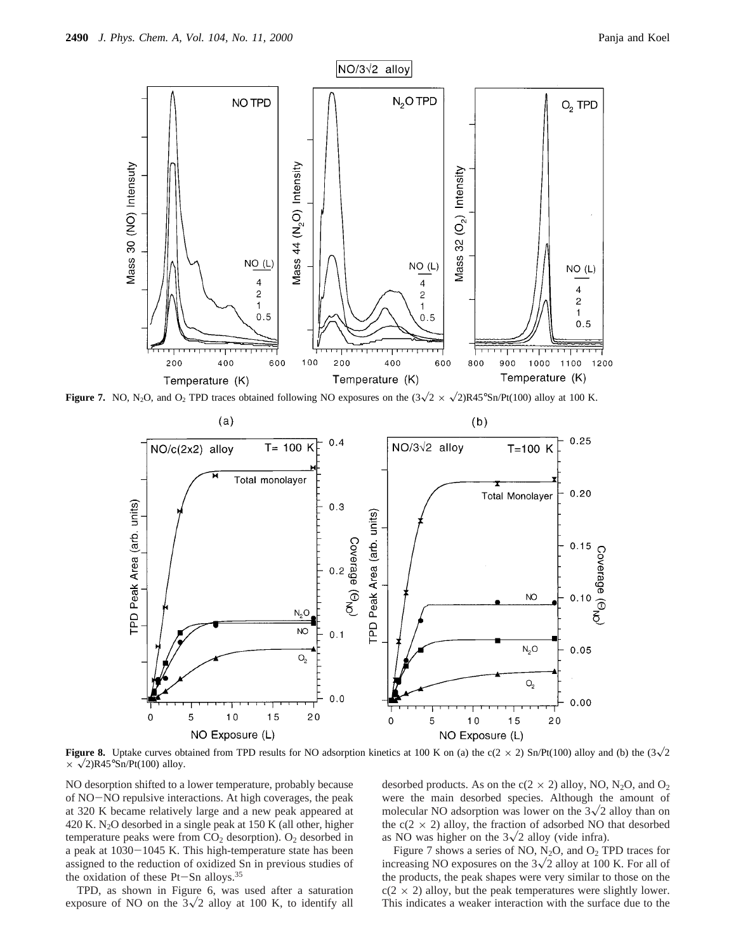

**Figure 7.** NO, N<sub>2</sub>O, and O<sub>2</sub> TPD traces obtained following NO exposures on the  $(3\sqrt{2} \times \sqrt{2})R45^{\circ}Sn/Pt(100)$  alloy at 100 K.



**Figure 8.** Uptake curves obtained from TPD results for NO adsorption kinetics at 100 K on (a) the c(2 × 2) Sn/Pt(100) alloy and (b) the (3 $\sqrt{2}$  $\times \sqrt{2}$ )R45°Sn/Pt(100) alloy.

NO desorption shifted to a lower temperature, probably because of NO-NO repulsive interactions. At high coverages, the peak at 320 K became relatively large and a new peak appeared at 420 K. N2O desorbed in a single peak at 150 K (all other, higher temperature peaks were from  $CO<sub>2</sub>$  desorption).  $O<sub>2</sub>$  desorbed in a peak at 1030-1045 K. This high-temperature state has been assigned to the reduction of oxidized Sn in previous studies of the oxidation of these  $Pt-Sn$  alloys.<sup>35</sup>

TPD, as shown in Figure 6, was used after a saturation exposure of NO on the  $3\sqrt{2}$  alloy at 100 K, to identify all

desorbed products. As on the  $c(2 \times 2)$  alloy, NO, N<sub>2</sub>O, and O<sub>2</sub> were the main desorbed species. Although the amount of molecular NO adsorption was lower on the  $3\sqrt{2}$  alloy than on the  $c(2 \times 2)$  alloy, the fraction of adsorbed NO that desorbed as NO was higher on the  $3\sqrt{2}$  alloy (vide infra).

Figure 7 shows a series of NO,  $N_2O$ , and  $O_2$  TPD traces for increasing NO exposures on the  $3\sqrt{2}$  alloy at 100 K. For all of the products, the peak shapes were very similar to those on the  $c(2 \times 2)$  alloy, but the peak temperatures were slightly lower. This indicates a weaker interaction with the surface due to the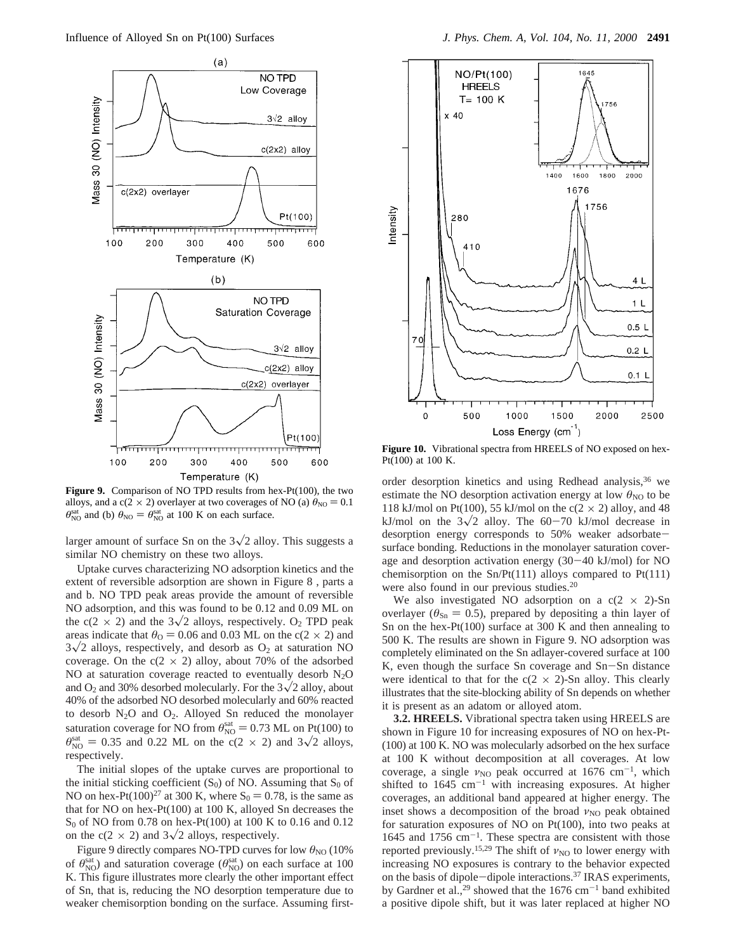

**Figure 9.** Comparison of NO TPD results from hex-Pt(100), the two alloys, and a c(2  $\times$  2) overlayer at two coverages of NO (a)  $\theta_{\text{NO}} = 0.1$  $\theta_{\text{NO}}^{\text{sat}}$  and (b)  $\theta_{\text{NO}} = \theta_{\text{NO}}^{\text{sat}}$  at 100 K on each surface.

larger amount of surface Sn on the  $3\sqrt{2}$  alloy. This suggests a similar NO chemistry on these two alloys.

Uptake curves characterizing NO adsorption kinetics and the extent of reversible adsorption are shown in Figure 8 , parts a and b. NO TPD peak areas provide the amount of reversible NO adsorption, and this was found to be 0.12 and 0.09 ML on the c(2  $\times$  2) and the 3 $\sqrt{2}$  alloys, respectively. O<sub>2</sub> TPD peak areas indicate that  $\theta_0 = 0.06$  and 0.03 ML on the c(2  $\times$  2) and  $3\sqrt{2}$  alloys, respectively, and desorb as  $O_2$  at saturation NO coverage. On the  $c(2 \times 2)$  alloy, about 70% of the adsorbed NO at saturation coverage reacted to eventually desorb  $N_2O$ and  $O_2$  and 30% desorbed molecularly. For the  $3\sqrt{2}$  alloy, about 40% of the adsorbed NO desorbed molecularly and 60% reacted to desorb N2O and O2. Alloyed Sn reduced the monolayer saturation coverage for NO from  $\theta_{\text{NO}}^{\text{sat}} = 0.73$  ML on Pt(100) to  $\theta_{\text{S}}^{\text{sat}} = 0.35$  and 0.22 ML on the  $c(2 \times 2)$  and  $3\sqrt{2}$  allows  $\theta_{\text{NO}}^{\text{sat}} = 0.35$  and 0.22 ML on the c(2 × 2) and 3 $\sqrt{2}$  alloys, respectively.

The initial slopes of the uptake curves are proportional to the initial sticking coefficient  $(S_0)$  of NO. Assuming that  $S_0$  of NO on hex-Pt(100)<sup>27</sup> at 300 K, where  $S_0 = 0.78$ , is the same as that for NO on hex-Pt(100) at 100 K, alloyed Sn decreases the  $S_0$  of NO from 0.78 on hex-Pt(100) at 100 K to 0.16 and 0.12 on the c(2  $\times$  2) and 3 $\sqrt{2}$  alloys, respectively.

Figure 9 directly compares NO-TPD curves for low  $θ_{NO}$  (10%) of  $\theta_{\text{NO}}^{\text{sat}}$ ) and saturation coverage ( $\theta_{\text{NO}}^{\text{sat}}$ ) on each surface at 100 K. This figure illustrates more clearly the other important effect of Sn, that is, reducing the NO desorption temperature due to weaker chemisorption bonding on the surface. Assuming first-



**Figure 10.** Vibrational spectra from HREELS of NO exposed on hex-Pt(100) at 100 K.

order desorption kinetics and using Redhead analysis,<sup>36</sup> we estimate the NO desorption activation energy at low  $\theta_{\text{NO}}$  to be 118 kJ/mol on Pt(100), 55 kJ/mol on the c( $2 \times 2$ ) alloy, and 48 kJ/mol on the  $3\sqrt{2}$  alloy. The 60-70 kJ/mol decrease in desorption energy corresponds to 50% weaker adsorbatesurface bonding. Reductions in the monolayer saturation coverage and desorption activation energy (30-40 kJ/mol) for NO chemisorption on the  $Sn/Pt(111)$  alloys compared to  $Pt(111)$ were also found in our previous studies.<sup>20</sup>

We also investigated NO adsorption on a  $c(2 \times 2)$ -Sn overlayer ( $\theta_{\text{Sn}} = 0.5$ ), prepared by depositing a thin layer of Sn on the hex-Pt(100) surface at 300 K and then annealing to 500 K. The results are shown in Figure 9. NO adsorption was completely eliminated on the Sn adlayer-covered surface at 100 K, even though the surface Sn coverage and Sn-Sn distance were identical to that for the  $c(2 \times 2)$ -Sn alloy. This clearly illustrates that the site-blocking ability of Sn depends on whether it is present as an adatom or alloyed atom.

**3.2. HREELS.** Vibrational spectra taken using HREELS are shown in Figure 10 for increasing exposures of NO on hex-Pt- (100) at 100 K. NO was molecularly adsorbed on the hex surface at 100 K without decomposition at all coverages. At low coverage, a single  $\nu_{\text{NO}}$  peak occurred at 1676 cm<sup>-1</sup>, which shifted to  $1645 \text{ cm}^{-1}$  with increasing exposures. At higher coverages, an additional band appeared at higher energy. The inset shows a decomposition of the broad *ν*<sub>NO</sub> peak obtained for saturation exposures of NO on Pt(100), into two peaks at 1645 and 1756  $cm^{-1}$ . These spectra are consistent with those reported previously.<sup>15,29</sup> The shift of  $\nu_{\text{NO}}$  to lower energy with increasing NO exposures is contrary to the behavior expected on the basis of dipole-dipole interactions.37 IRAS experiments, by Gardner et al.,<sup>29</sup> showed that the  $1676 \text{ cm}^{-1}$  band exhibited a positive dipole shift, but it was later replaced at higher NO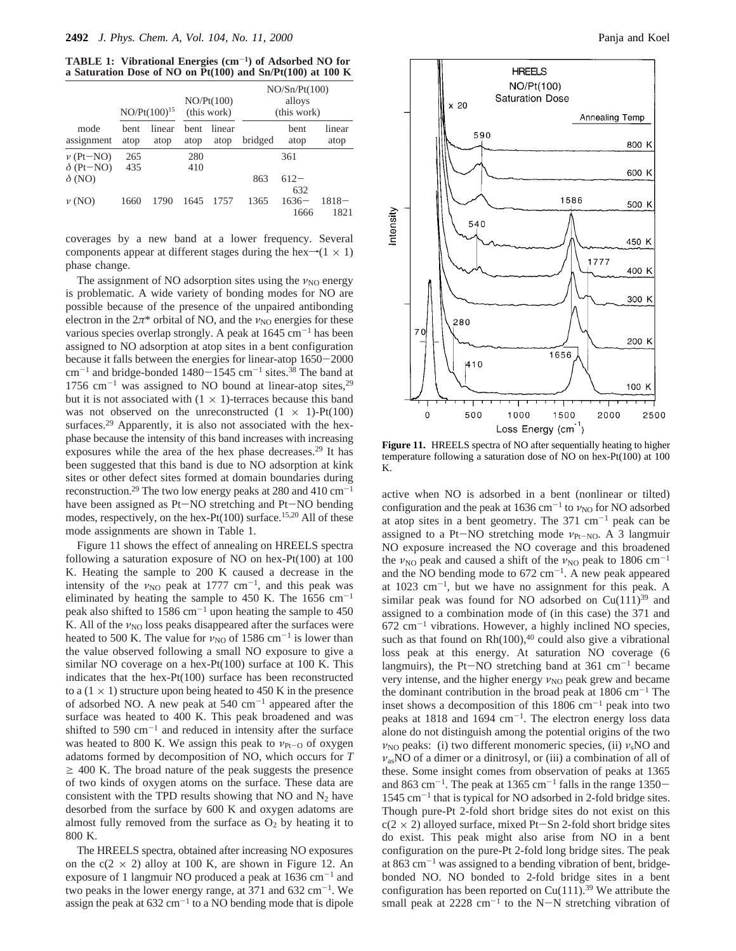**TABLE 1: Vibrational Energies (cm**-**1) of Adsorbed NO for a Saturation Dose of NO on Pt(100) and Sn/Pt(100) at 100 K**

|                                   | $NO/Pt(100)^{15}$   |                | NO/Pt(100)<br>(this work) |                | NO/Sn/Pt(100)<br>alloys<br>(this work) |                     |                  |
|-----------------------------------|---------------------|----------------|---------------------------|----------------|----------------------------------------|---------------------|------------------|
| mode<br>assignment                | <b>bent</b><br>atop | linear<br>atop | <b>bent</b><br>atop       | linear<br>atop | bridged                                | <b>bent</b><br>atop | linear<br>atop   |
| $\nu$ (Pt-NO)<br>$\delta$ (Pt-NO) | 265<br>435          |                | 280<br>410                |                |                                        | 361                 |                  |
| $\delta$ (NO)                     |                     |                |                           |                | 863                                    | $612-$<br>632       |                  |
| $\nu$ (NO)                        | 1660                | 1790           | 1645                      | 1757           | 1365                                   | $1636-$<br>1666     | $1818 -$<br>1821 |

coverages by a new band at a lower frequency. Several components appear at different stages during the hex $\rightarrow$ (1 × 1) phase change.

The assignment of NO adsorption sites using the  $\nu_{\text{NO}}$  energy is problematic. A wide variety of bonding modes for NO are possible because of the presence of the unpaired antibonding electron in the  $2\pi^*$  orbital of NO, and the  $\nu_{\text{NO}}$  energies for these various species overlap strongly. A peak at  $1645 \text{ cm}^{-1}$  has been assigned to NO adsorption at atop sites in a bent configuration because it falls between the energies for linear-atop 1650-<sup>2000</sup>  $cm^{-1}$  and bridge-bonded 1480-1545  $cm^{-1}$  sites.<sup>38</sup> The band at 1756  $cm^{-1}$  was assigned to NO bound at linear-atop sites,<sup>29</sup> but it is not associated with  $(1 \times 1)$ -terraces because this band was not observed on the unreconstructed  $(1 \times 1)$ -Pt $(100)$ surfaces.<sup>29</sup> Apparently, it is also not associated with the hexphase because the intensity of this band increases with increasing exposures while the area of the hex phase decreases.<sup>29</sup> It has been suggested that this band is due to NO adsorption at kink sites or other defect sites formed at domain boundaries during reconstruction.<sup>29</sup> The two low energy peaks at 280 and 410 cm<sup>-1</sup> have been assigned as Pt-NO stretching and Pt-NO bending have been assigned as Pt-NO stretching and Pt-NO bending modes, respectively, on the hex-Pt(100) surface.<sup>15,20</sup> All of these mode assignments are shown in Table 1.

Figure 11 shows the effect of annealing on HREELS spectra following a saturation exposure of NO on hex-Pt(100) at 100 K. Heating the sample to 200 K caused a decrease in the intensity of the  $v_{\text{NO}}$  peak at 1777 cm<sup>-1</sup>, and this peak was eliminated by heating the sample to 450 K. The 1656  $cm^{-1}$ peak also shifted to 1586 cm<sup>-1</sup> upon heating the sample to 450 K. All of the *ν*<sub>NO</sub> loss peaks disappeared after the surfaces were heated to 500 K. The value for  $v_{NO}$  of 1586 cm<sup>-1</sup> is lower than the value observed following a small NO exposure to give a similar NO coverage on a hex-Pt(100) surface at 100 K. This indicates that the hex-Pt(100) surface has been reconstructed to a  $(1 \times 1)$  structure upon being heated to 450 K in the presence of adsorbed NO. A new peak at  $540 \text{ cm}^{-1}$  appeared after the surface was heated to 400 K. This peak broadened and was shifted to 590  $cm^{-1}$  and reduced in intensity after the surface was heated to 800 K. We assign this peak to  $ν_{Pt-O}$  of oxygen adatoms formed by decomposition of NO, which occurs for *T*  $\geq$  400 K. The broad nature of the peak suggests the presence of two kinds of oxygen atoms on the surface. These data are consistent with the TPD results showing that NO and  $N_2$  have desorbed from the surface by 600 K and oxygen adatoms are almost fully removed from the surface as  $O_2$  by heating it to 800 K.

The HREELS spectra, obtained after increasing NO exposures on the  $c(2 \times 2)$  alloy at 100 K, are shown in Figure 12. An exposure of 1 langmuir NO produced a peak at  $1636 \text{ cm}^{-1}$  and two peaks in the lower energy range, at 371 and  $632 \text{ cm}^{-1}$ . We assign the peak at  $632 \text{ cm}^{-1}$  to a NO bending mode that is dipole



Figure 11. HREELS spectra of NO after sequentially heating to higher temperature following a saturation dose of NO on hex-Pt(100) at 100 K.

active when NO is adsorbed in a bent (nonlinear or tilted) configuration and the peak at 1636 cm<sup>-1</sup> to *ν*<sub>NO</sub> for NO adsorbed at atop sites in a bent geometry. The  $371 \text{ cm}^{-1}$  peak can be assigned to a Pt-NO stretching mode  $v_{\text{Pt-NO}}$ . A 3 langmuir NO exposure increased the NO coverage and this broadened the  $\nu_{\text{NO}}$  peak and caused a shift of the  $\nu_{\text{NO}}$  peak to 1806 cm<sup>-1</sup> and the NO bending mode to  $672 \text{ cm}^{-1}$ . A new peak appeared at  $1023 \text{ cm}^{-1}$ , but we have no assignment for this peak. A similar peak was found for NO adsorbed on  $Cu(111)^{39}$  and assigned to a combination mode of (in this case) the 371 and  $672 \text{ cm}^{-1}$  vibrations. However, a highly inclined NO species, such as that found on  $Rh(100)$ ,<sup>40</sup> could also give a vibrational loss peak at this energy. At saturation NO coverage (6 langmuirs), the Pt-NO stretching band at  $361 \text{ cm}^{-1}$  became very intense, and the higher energy *ν*<sub>NO</sub> peak grew and became the dominant contribution in the broad peak at  $1806 \text{ cm}^{-1}$  The inset shows a decomposition of this  $1806 \text{ cm}^{-1}$  peak into two peaks at 1818 and 1694  $cm^{-1}$ . The electron energy loss data alone do not distinguish among the potential origins of the two  $v_{\text{NO}}$  peaks: (i) two different monomeric species, (ii)  $v_{\text{s}}$ NO and *ν*asNO of a dimer or a dinitrosyl, or (iii) a combination of all of these. Some insight comes from observation of peaks at 1365 and 863 cm<sup>-1</sup>. The peak at 1365 cm<sup>-1</sup> falls in the range 1350-1545 cm-<sup>1</sup> that is typical for NO adsorbed in 2-fold bridge sites. Though pure-Pt 2-fold short bridge sites do not exist on this  $c(2 \times 2)$  alloyed surface, mixed Pt-Sn 2-fold short bridge sites do exist. This peak might also arise from NO in a bent configuration on the pure-Pt 2-fold long bridge sites. The peak at  $863 \text{ cm}^{-1}$  was assigned to a bending vibration of bent, bridgebonded NO. NO bonded to 2-fold bridge sites in a bent configuration has been reported on  $Cu(111).^{39}$  We attribute the small peak at  $2228 \text{ cm}^{-1}$  to the N-N stretching vibration of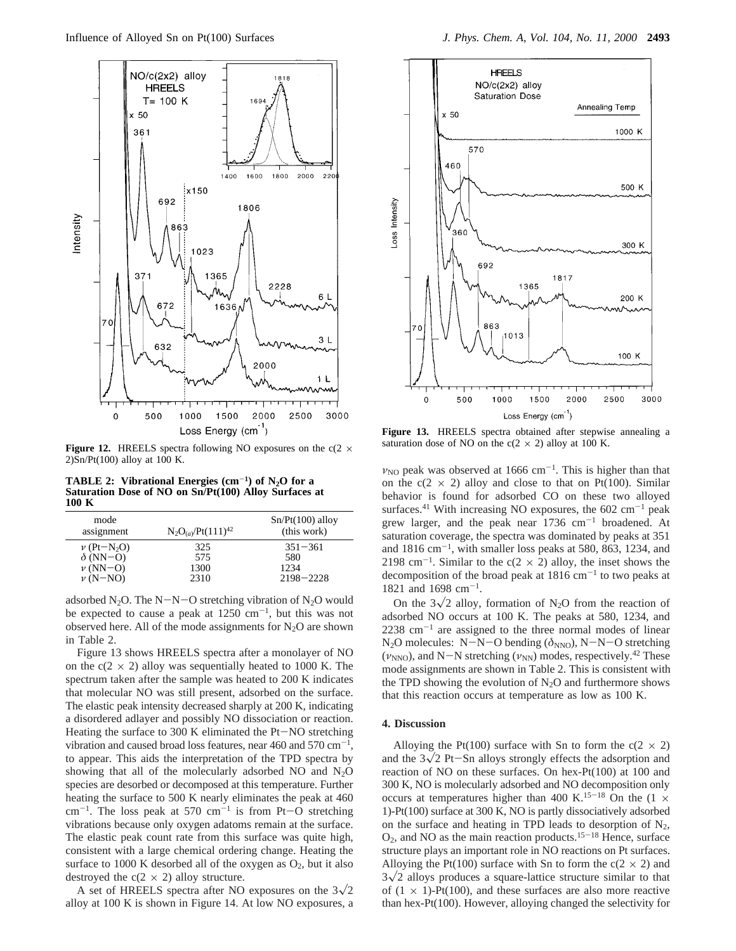

**Figure 12.** HREELS spectra following NO exposures on the  $c(2 \times$  $2)Sn/Pt(100)$  alloy at 100 K.

**TABLE 2: Vibrational Energies**  $(cm<sup>-1</sup>)$  **of N<sub>2</sub>O for a Saturation Dose of NO on Sn/Pt(100) Alloy Surfaces at 100 K**

| mode<br>assignment          | $N_2O_{(a)}/Pt(111)^{42}$ | $Sn/Pt(100)$ alloy<br>(this work) |
|-----------------------------|---------------------------|-----------------------------------|
| $\nu$ (Pt-N <sub>2</sub> O) | 325                       | $351 - 361$                       |
| $\delta$ (NN-O)             | 575                       | 580                               |
| $\nu$ (NN-O)                | 1300                      | 1234                              |
| $\nu$ (N-NO)                | 2310                      | $2198 - 2228$                     |
|                             |                           |                                   |

adsorbed N<sub>2</sub>O. The N-N-O stretching vibration of N<sub>2</sub>O would be expected to cause a peak at  $1250 \text{ cm}^{-1}$ , but this was not observed here. All of the mode assignments for  $N_2O$  are shown in Table 2.

Figure 13 shows HREELS spectra after a monolayer of NO on the  $c(2 \times 2)$  alloy was sequentially heated to 1000 K. The spectrum taken after the sample was heated to 200 K indicates that molecular NO was still present, adsorbed on the surface. The elastic peak intensity decreased sharply at 200 K, indicating a disordered adlayer and possibly NO dissociation or reaction. Heating the surface to 300 K eliminated the Pt-NO stretching vibration and caused broad loss features, near 460 and 570  $\text{cm}^{-1}$ , to appear. This aids the interpretation of the TPD spectra by showing that all of the molecularly adsorbed NO and  $N_2O$ species are desorbed or decomposed at this temperature. Further heating the surface to 500 K nearly eliminates the peak at 460  $cm^{-1}$ . The loss peak at 570  $cm^{-1}$  is from Pt-O stretching vibrations because only oxygen adatoms remain at the surface. The elastic peak count rate from this surface was quite high, consistent with a large chemical ordering change. Heating the surface to 1000 K desorbed all of the oxygen as  $O_2$ , but it also destroyed the  $c(2 \times 2)$  alloy structure.

A set of HREELS spectra after NO exposures on the  $3\sqrt{2}$ alloy at 100 K is shown in Figure 14. At low NO exposures, a



**Figure 13.** HREELS spectra obtained after stepwise annealing a saturation dose of NO on the  $c(2 \times 2)$  alloy at 100 K.

 $v_{\text{NO}}$  peak was observed at 1666 cm<sup>-1</sup>. This is higher than that on the  $c(2 \times 2)$  alloy and close to that on Pt(100). Similar behavior is found for adsorbed CO on these two alloyed surfaces.<sup>41</sup> With increasing NO exposures, the 602 cm<sup>-1</sup> peak grew larger, and the peak near  $1736 \text{ cm}^{-1}$  broadened. At saturation coverage, the spectra was dominated by peaks at 351 and  $1816 \text{ cm}^{-1}$ , with smaller loss peaks at 580, 863, 1234, and 2198 cm<sup>-1</sup>. Similar to the c(2  $\times$  2) alloy, the inset shows the decomposition of the broad peak at  $1816 \text{ cm}^{-1}$  to two peaks at 1821 and 1698 cm-1.

On the  $3\sqrt{2}$  alloy, formation of N<sub>2</sub>O from the reaction of adsorbed NO occurs at 100 K. The peaks at 580, 1234, and  $2238$   $\text{cm}^{-1}$  are assigned to the three normal modes of linear N<sub>2</sub>O molecules: N-N-O bending ( $\delta$ <sub>NNO</sub>), N-N-O stretching  $(\nu_{NNO})$ , and N-N stretching  $(\nu_{NN})$  modes, respectively.<sup>42</sup> These mode assignments are shown in Table 2. This is consistent with the TPD showing the evolution of  $N_2O$  and furthermore shows that this reaction occurs at temperature as low as 100 K.

### **4. Discussion**

Alloying the Pt(100) surface with Sn to form the  $c(2 \times 2)$ and the  $3\sqrt{2}$  Pt-Sn alloys strongly effects the adsorption and reaction of NO on these surfaces. On hex-Pt(100) at 100 and 300 K, NO is molecularly adsorbed and NO decomposition only occurs at temperatures higher than 400 K.<sup>15-18</sup> On the  $(1 \times$ 1)-Pt(100) surface at 300 K, NO is partly dissociatively adsorbed on the surface and heating in TPD leads to desorption of  $N_2$ ,  $O_2$ , and NO as the main reaction products.<sup>15-18</sup> Hence, surface structure plays an important role in NO reactions on Pt surfaces. Alloying the Pt(100) surface with Sn to form the  $c(2 \times 2)$  and  $3\sqrt{2}$  alloys produces a square-lattice structure similar to that of  $(1 \times 1)$ -Pt $(100)$ , and these surfaces are also more reactive than hex-Pt(100). However, alloying changed the selectivity for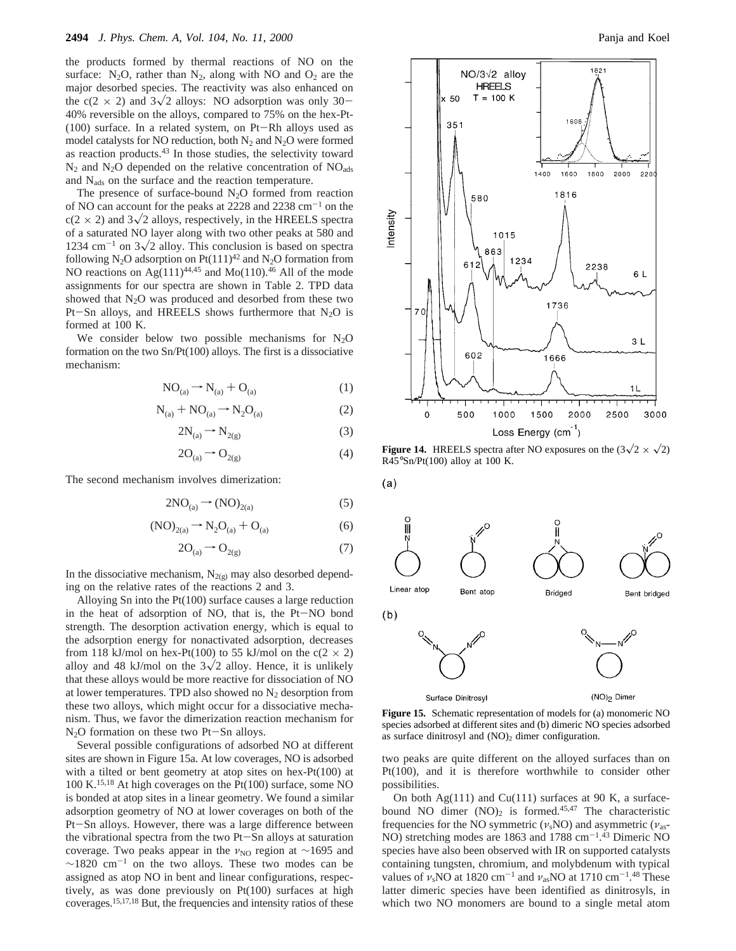the products formed by thermal reactions of NO on the surface:  $N_2O$ , rather than  $N_2$ , along with NO and  $O_2$  are the major desorbed species. The reactivity was also enhanced on the c(2  $\times$  2) and 3 $\sqrt{2}$  alloys: NO adsorption was only 30-40% reversible on the alloys, compared to 75% on the hex-Pt- (100) surface. In a related system, on Pt-Rh alloys used as model catalysts for NO reduction, both  $N_2$  and  $N_2O$  were formed as reaction products.43 In those studies, the selectivity toward  $N_2$  and  $N_2O$  depended on the relative concentration of  $NO<sub>ads</sub>$ and Nads on the surface and the reaction temperature.

The presence of surface-bound  $N_2O$  formed from reaction of NO can account for the peaks at  $2228$  and  $2238$  cm<sup>-1</sup> on the  $c(2 \times 2)$  and  $3\sqrt{2}$  alloys, respectively, in the HREELS spectra of a saturated NO layer along with two other peaks at 580 and 1234 cm<sup>-1</sup> on  $3\sqrt{2}$  alloy. This conclusion is based on spectra following N<sub>2</sub>O adsorption on Pt(111)<sup>42</sup> and N<sub>2</sub>O formation from NO reactions on  $Ag(111)^{44,45}$  and Mo(110).<sup>46</sup> All of the mode assignments for our spectra are shown in Table 2. TPD data showed that  $N_2O$  was produced and desorbed from these two Pt-Sn alloys, and HREELS shows furthermore that  $N_2O$  is formed at 100 K.

We consider below two possible mechanisms for  $N_2O$ formation on the two Sn/Pt(100) alloys. The first is a dissociative mechanism:

$$
NO_{(a)} \rightarrow N_{(a)} + O_{(a)} \tag{1}
$$

$$
N_{(a)} + NO_{(a)} \rightarrow N_2O_{(a)}
$$
 (2)

$$
2N_{(a)} \rightarrow N_{2(g)} \tag{3}
$$

$$
2O_{(a)} \rightarrow O_{2(g)} \tag{4}
$$

 $(a)$ 

The second mechanism involves dimerization:

$$
2NO_{(a)} \rightarrow (NO)_{2(a)} \tag{5}
$$

$$
(NO)_{2(a)} \rightarrow N_2O_{(a)} + O_{(a)}
$$
 (6)

$$
2O_{(a)} \rightarrow O_{2(g)} \tag{7}
$$

In the dissociative mechanism,  $N_{2(g)}$  may also desorbed depending on the relative rates of the reactions 2 and 3.

Alloying Sn into the Pt(100) surface causes a large reduction in the heat of adsorption of NO, that is, the Pt-NO bond strength. The desorption activation energy, which is equal to the adsorption energy for nonactivated adsorption, decreases from 118 kJ/mol on hex-Pt(100) to 55 kJ/mol on the  $c(2 \times 2)$ alloy and 48 kJ/mol on the  $3\sqrt{2}$  alloy. Hence, it is unlikely that these alloys would be more reactive for dissociation of NO at lower temperatures. TPD also showed no  $N_2$  desorption from these two alloys, which might occur for a dissociative mechanism. Thus, we favor the dimerization reaction mechanism for  $N<sub>2</sub>O$  formation on these two Pt-Sn alloys.

Several possible configurations of adsorbed NO at different sites are shown in Figure 15a. At low coverages, NO is adsorbed with a tilted or bent geometry at atop sites on hex-Pt(100) at 100 K.15,18 At high coverages on the Pt(100) surface, some NO is bonded at atop sites in a linear geometry. We found a similar adsorption geometry of NO at lower coverages on both of the Pt-Sn alloys. However, there was a large difference between the vibrational spectra from the two Pt-Sn alloys at saturation coverage. Two peaks appear in the *v*<sub>NO</sub> region at ∼1695 and  $\sim$ 1820 cm<sup>-1</sup> on the two alloys. These two modes can be assigned as atop NO in bent and linear configurations, respectively, as was done previously on Pt(100) surfaces at high coverages.15,17,18 But, the frequencies and intensity ratios of these



**Figure 14.** HREELS spectra after NO exposures on the  $(3\sqrt{2} \times \sqrt{2})$  $R45^{\circ}$ Sn/Pt(100) alloy at 100 K.



**Figure 15.** Schematic representation of models for (a) monomeric NO species adsorbed at different sites and (b) dimeric NO species adsorbed as surface dinitrosyl and  $(NO)_2$  dimer configuration.

two peaks are quite different on the alloyed surfaces than on Pt(100), and it is therefore worthwhile to consider other possibilities.

On both  $Ag(111)$  and  $Cu(111)$  surfaces at 90 K, a surfacebound NO dimer  $(NO)_2$  is formed.<sup>45,47</sup> The characteristic frequencies for the NO symmetric ( $v_s$ NO) and asymmetric ( $v_{as}$ -NO) stretching modes are 1863 and 1788 cm<sup>-1</sup>.<sup>43</sup> Dimeric NO species have also been observed with IR on supported catalysts containing tungsten, chromium, and molybdenum with typical values of  $\nu_s$ NO at 1820 cm<sup>-1</sup> and  $\nu_{as}$ NO at 1710 cm<sup>-1</sup>.<sup>48</sup> These latter dimeric species have been identified as dinitrosyls, in which two NO monomers are bound to a single metal atom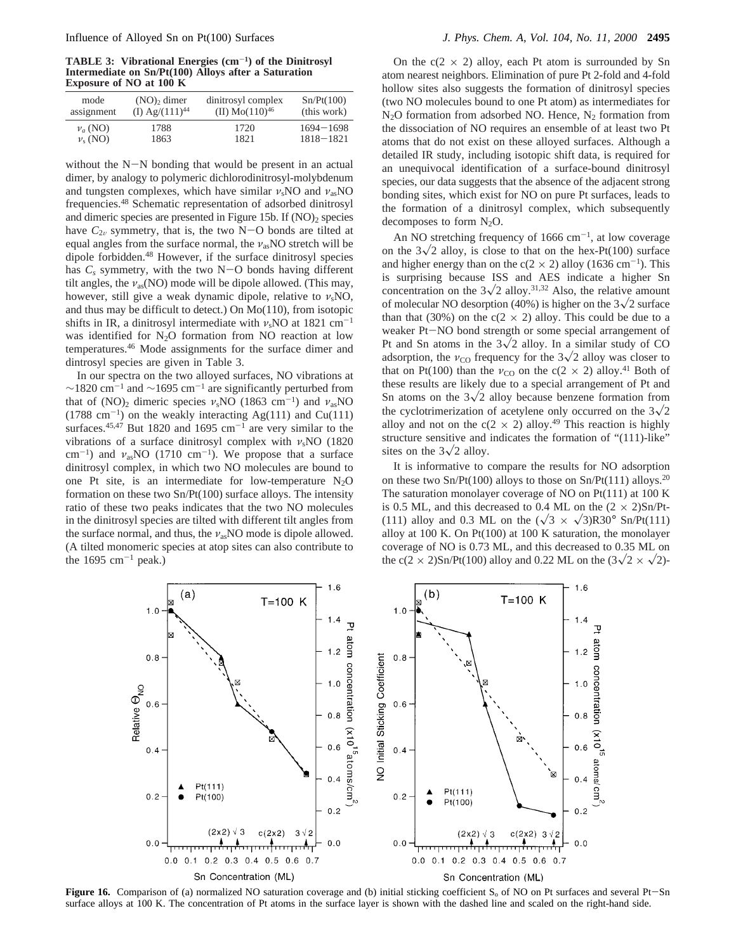**TABLE 3: Vibrational Energies (cm**-**1) of the Dinitrosyl Intermediate on Sn/Pt(100) Alloys after a Saturation Exposure of NO at 100 K**

| assignment | $(NO)$ , dimer      | dinitrosyl complex  | Sn/Pt(100)    |
|------------|---------------------|---------------------|---------------|
|            | (I) $Ag/(111)^{44}$ | (II) $Mo(110)^{46}$ | (this work)   |
| $v_a(NO)$  | 1788                | 1720                | $1694 - 1698$ |
| $v_s(NO)$  | 1863                | 1821                | $1818 - 1821$ |

without the N-N bonding that would be present in an actual dimer, by analogy to polymeric dichlorodinitrosyl-molybdenum and tungsten complexes, which have similar  $v_s$ NO and  $v_{as}$ NO frequencies.48 Schematic representation of adsorbed dinitrosyl and dimeric species are presented in Figure 15b. If (NO)<sub>2</sub> species have  $C_{2v}$  symmetry, that is, the two N-O bonds are tilted at equal angles from the surface normal, the *ν*asNO stretch will be dipole forbidden.48 However, if the surface dinitrosyl species has  $C_s$  symmetry, with the two  $N-O$  bonds having different tilt angles, the *ν*as(NO) mode will be dipole allowed. (This may, however, still give a weak dynamic dipole, relative to *ν*sNO, and thus may be difficult to detect.) On Mo(110), from isotopic shifts in IR, a dinitrosyl intermediate with  $v_s$ NO at 1821 cm<sup>-1</sup> was identified for  $N_2O$  formation from NO reaction at low temperatures.46 Mode assignments for the surface dimer and dintrosyl species are given in Table 3.

In our spectra on the two alloyed surfaces, NO vibrations at  $\sim$ 1820 cm<sup>-1</sup> and  $\sim$ 1695 cm<sup>-1</sup> are significantly perturbed from that of  $(NO)_2$  dimeric species  $\nu_s NO$  (1863 cm<sup>-1</sup>) and  $\nu_{as} NO$  $(1788 \text{ cm}^{-1})$  on the weakly interacting Ag(111) and Cu(111) surfaces.<sup>45,47</sup> But 1820 and 1695  $cm^{-1}$  are very similar to the vibrations of a surface dinitrosyl complex with *ν*sNO (1820 cm<sup>-1</sup>) and  $v_{as}NO$  (1710 cm<sup>-1</sup>). We propose that a surface dinitrosyl complex, in which two NO molecules are bound to one Pt site, is an intermediate for low-temperature  $N_2O$ formation on these two Sn/Pt(100) surface alloys. The intensity ratio of these two peaks indicates that the two NO molecules in the dinitrosyl species are tilted with different tilt angles from the surface normal, and thus, the *ν*<sub>as</sub>NO mode is dipole allowed. (A tilted monomeric species at atop sites can also contribute to the  $1695 \text{ cm}^{-1}$  peak.)

On the  $c(2 \times 2)$  alloy, each Pt atom is surrounded by Sn atom nearest neighbors. Elimination of pure Pt 2-fold and 4-fold hollow sites also suggests the formation of dinitrosyl species (two NO molecules bound to one Pt atom) as intermediates for  $N_2$ O formation from adsorbed NO. Hence,  $N_2$  formation from the dissociation of NO requires an ensemble of at least two Pt atoms that do not exist on these alloyed surfaces. Although a detailed IR study, including isotopic shift data, is required for an unequivocal identification of a surface-bound dinitrosyl species, our data suggests that the absence of the adjacent strong bonding sites, which exist for NO on pure Pt surfaces, leads to the formation of a dinitrosyl complex, which subsequently decomposes to form  $N_2O$ .

An NO stretching frequency of 1666 cm<sup>-1</sup>, at low coverage on the  $3\sqrt{2}$  alloy, is close to that on the hex-Pt(100) surface and higher energy than on the  $c(2 \times 2)$  alloy (1636 cm<sup>-1</sup>). This is surprising because ISS and AES indicate a higher Sn concentration on the  $3\sqrt{2}$  alloy.<sup>31,32</sup> Also, the relative amount of molecular NO desorption (40%) is higher on the  $3\sqrt{2}$  surface than that (30%) on the  $c(2 \times 2)$  alloy. This could be due to a weaker Pt-NO bond strength or some special arrangement of Pt and Sn atoms in the  $3\sqrt{2}$  alloy. In a similar study of CO adsorption, the  $v_{\text{CO}}$  frequency for the  $3\sqrt{2}$  alloy was closer to that on Pt(100) than the  $v_{\text{CO}}$  on the c(2  $\times$  2) alloy.<sup>41</sup> Both of these results are likely due to a special arrangement of Pt and Sn atoms on the  $3\sqrt{2}$  alloy because benzene formation from the cyclotrimerization of acetylene only occurred on the  $3\sqrt{2}$ alloy and not on the  $c(2 \times 2)$  alloy.<sup>49</sup> This reaction is highly structure sensitive and indicates the formation of "(111)-like" sites on the  $3\sqrt{2}$  alloy.

It is informative to compare the results for NO adsorption on these two Sn/Pt(100) alloys to those on Sn/Pt(111) alloys.20 The saturation monolayer coverage of NO on Pt(111) at 100 K is 0.5 ML, and this decreased to 0.4 ML on the  $(2 \times 2)Sn/Pt$ -(111) alloy and 0.3 ML on the  $(\sqrt{3} \times \sqrt{3})R30^{\circ}$  Sn/Pt(111) alloy at 100 K. On Pt(100) at 100 K saturation, the monolayer coverage of NO is 0.73 ML, and this decreased to 0.35 ML on the c(2  $\times$  2)Sn/Pt(100) alloy and 0.22 ML on the (3 $\sqrt{2} \times \sqrt{2}$ )-



**Figure 16.** Comparison of (a) normalized NO saturation coverage and (b) initial sticking coefficient  $S_0$  of NO on Pt surfaces and several Pt-Sn surface alloys at 100 K. The concentration of Pt atoms in the surface layer is shown with the dashed line and scaled on the right-hand side.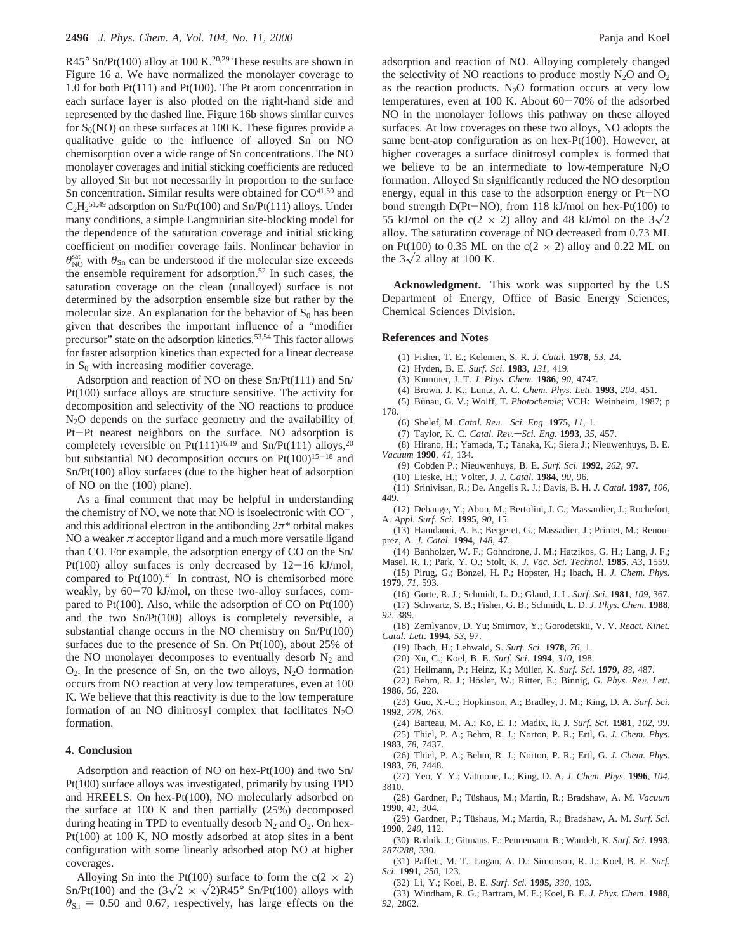R45° Sn/Pt(100) alloy at 100 K.<sup>20,29</sup> These results are shown in Figure 16 a. We have normalized the monolayer coverage to 1.0 for both Pt(111) and Pt(100). The Pt atom concentration in each surface layer is also plotted on the right-hand side and represented by the dashed line. Figure 16b shows similar curves for  $S_0(NO)$  on these surfaces at 100 K. These figures provide a qualitative guide to the influence of alloyed Sn on NO chemisorption over a wide range of Sn concentrations. The NO monolayer coverages and initial sticking coefficients are reduced by alloyed Sn but not necessarily in proportion to the surface Sn concentration. Similar results were obtained for  $CO<sup>41,50</sup>$  and  $C_2H_2^{51,49}$  adsorption on Sn/Pt(100) and Sn/Pt(111) alloys. Under many conditions, a simple Langmuirian site-blocking model for the dependence of the saturation coverage and initial sticking coefficient on modifier coverage fails. Nonlinear behavior in  $\theta_{\text{NO}}^{\text{sat}}$  with  $\theta_{\text{Sn}}$  can be understood if the molecular size exceeds the ensemble requirement for adsorption.52 In such cases, the saturation coverage on the clean (unalloyed) surface is not determined by the adsorption ensemble size but rather by the molecular size. An explanation for the behavior of  $S_0$  has been given that describes the important influence of a "modifier precursor" state on the adsorption kinetics.53,54 This factor allows for faster adsorption kinetics than expected for a linear decrease in  $S_0$  with increasing modifier coverage.

Adsorption and reaction of NO on these Sn/Pt(111) and Sn/ Pt(100) surface alloys are structure sensitive. The activity for decomposition and selectivity of the NO reactions to produce N2O depends on the surface geometry and the availability of Pt-Pt nearest neighbors on the surface. NO adsorption is completely reversible on Pt(111)<sup>16,19</sup> and Sn/Pt(111) alloys,<sup>20</sup> but substantial NO decomposition occurs on  $Pt(100)^{15-18}$  and Sn/Pt(100) alloy surfaces (due to the higher heat of adsorption of NO on the (100) plane).

As a final comment that may be helpful in understanding the chemistry of NO, we note that NO is isoelectronic with  $CO^-$ , and this additional electron in the antibonding  $2\pi^*$  orbital makes NO a weaker  $\pi$  acceptor ligand and a much more versatile ligand than CO. For example, the adsorption energy of CO on the Sn/ Pt(100) alloy surfaces is only decreased by  $12-16$  kJ/mol, compared to  $Pt(100).<sup>41</sup>$  In contrast, NO is chemisorbed more weakly, by  $60-70$  kJ/mol, on these two-alloy surfaces, compared to  $Pt(100)$ . Also, while the adsorption of CO on  $Pt(100)$ and the two Sn/Pt(100) alloys is completely reversible, a substantial change occurs in the NO chemistry on Sn/Pt(100) surfaces due to the presence of Sn. On Pt(100), about 25% of the NO monolayer decomposes to eventually desorb  $N_2$  and  $O_2$ . In the presence of Sn, on the two alloys, N<sub>2</sub>O formation occurs from NO reaction at very low temperatures, even at 100 K. We believe that this reactivity is due to the low temperature formation of an NO dinitrosyl complex that facilitates  $N_2O$ formation.

### **4. Conclusion**

Adsorption and reaction of NO on hex-Pt(100) and two Sn/ Pt(100) surface alloys was investigated, primarily by using TPD and HREELS. On hex-Pt(100), NO molecularly adsorbed on the surface at 100 K and then partially (25%) decomposed during heating in TPD to eventually desorb  $N_2$  and  $O_2$ . On hex-Pt(100) at 100 K, NO mostly adsorbed at atop sites in a bent configuration with some linearly adsorbed atop NO at higher coverages.

Alloying Sn into the Pt(100) surface to form the  $c(2 \times 2)$ Sn/Pt(100) and the  $(3\sqrt{2} \times \sqrt{2})R45^{\circ}$  Sn/Pt(100) alloys with  $\theta_{\text{Sn}} = 0.50$  and 0.67, respectively, has large effects on the

adsorption and reaction of NO. Alloying completely changed the selectivity of NO reactions to produce mostly  $N_2O$  and  $O_2$ as the reaction products.  $N_2O$  formation occurs at very low temperatures, even at 100 K. About  $60-70\%$  of the adsorbed NO in the monolayer follows this pathway on these alloyed surfaces. At low coverages on these two alloys, NO adopts the same bent-atop configuration as on hex-Pt(100). However, at higher coverages a surface dinitrosyl complex is formed that we believe to be an intermediate to low-temperature  $N_2O$ formation. Alloyed Sn significantly reduced the NO desorption energy, equal in this case to the adsorption energy or Pt-NO bond strength D(Pt-NO), from 118 kJ/mol on hex-Pt(100) to 55 kJ/mol on the c(2  $\times$  2) alloy and 48 kJ/mol on the  $3\sqrt{2}$ alloy. The saturation coverage of NO decreased from 0.73 ML on Pt(100) to 0.35 ML on the  $c(2 \times 2)$  alloy and 0.22 ML on the  $3\sqrt{2}$  alloy at 100 K.

**Acknowledgment.** This work was supported by the US Department of Energy, Office of Basic Energy Sciences, Chemical Sciences Division.

#### **References and Notes**

- (1) Fisher, T. E.; Kelemen, S. R. *J. Catal.* **1978**, *53*, 24.
- (2) Hyden, B. E. *Surf. Sci.* **1983**, *131*, 419.
- (3) Kummer, J. T. *J. Phys. Chem.* **1986**, *90*, 4747.
- (4) Brown, J. K.; Luntz, A. C. *Chem. Phys. Lett.* **1993**, *204*, 451.
- (5) Bünau, G. V.; Wolff, T. *Photochemie*; VCH: Weinheim, 1987; p 178.
	- (6) Shelef, M. *Catal. Re*V*.*s*Sci. Eng.* **<sup>1975</sup>**, *<sup>11</sup>*, 1.
	- (7) Taylor, K. C. *Catal. Re*V*.*s*Sci. Eng.* **<sup>1993</sup>**, *<sup>35</sup>*, 457.

(8) Hirano, H.; Yamada, T.; Tanaka, K.; Siera J.; Nieuwenhuys, B. E. *Vacuum* **1990**, *41*, 134.

- (9) Cobden P.; Nieuwenhuys, B. E. *Surf. Sci.* **1992**, *262*, 97.
- (10) Lieske, H.; Volter, J. *J. Catal*. **1984**, *90*, 96.
- (11) Srinivisan, R.; De. Angelis R. J.; Davis, B. H. *J. Catal.* **1987**, *106*, 449.
- (12) Debauge, Y.; Abon, M.; Bertolini, J. C.; Massardier, J.; Rochefort, A. *Appl. Surf. Sci.* **1995**, *90*, 15.

(13) Hamdaoui, A. E.; Bergeret, G.; Massadier, J.; Primet, M.; Renouprez, A. *J. Catal.* **1994**, *148*, 47.

- (14) Banholzer, W. F.; Gohndrone, J. M.; Hatzikos, G. H.; Lang, J. F.; Masel, R. I.; Park, Y. O.; Stolt, K. *J. Vac. Sci. Technol*. **1985**, *A3*, 1559.
- (15) Pirug, G.; Bonzel, H. P.; Hopster, H.; Ibach, H. *J. Chem. Phys.* **1979**, *71*, 593.
	- (16) Gorte, R. J.; Schmidt, L. D.; Gland, J. L. *Surf. Sci.* **1981**, *109*, 367.
- (17) Schwartz, S. B.; Fisher, G. B.; Schmidt, L. D. *J. Phys. Chem*. **1988**, *92*, 389.
- (18) Zemlyanov, D. Yu; Smirnov, Y.; Gorodetskii, V. V. *React. Kinet. Catal. Lett*. **1994**, *53*, 97.
	- (19) Ibach, H.; Lehwald, S. *Surf. Sci*. **1978**, *76*, 1.
	- (20) Xu, C.; Koel, B. E. *Surf. Sci*. **1994**, *310*, 198.
	- (21) Heilmann, P.; Heinz, K.; Mu¨ller, K. *Surf. Sci*. **1979**, *83*, 487.
- (22) Behm, R. J.; Ho¨sler, W.; Ritter, E.; Binnig, G. *Phys. Re*V*. Lett*. **1986**, *56*, 228.
- (23) Guo, X.-C.; Hopkinson, A.; Bradley, J. M.; King, D. A. *Surf. Sci*. **1992**, *278*, 263.
- (24) Barteau, M. A.; Ko, E. I.; Madix, R. J. *Surf. Sci.* **1981**, *102*, 99. (25) Thiel, P. A.; Behm, R. J.; Norton, P. R.; Ertl, G. *J. Chem. Phys*.
- **1983**, *78*, 7437.
- (26) Thiel, P. A.; Behm, R. J.; Norton, P. R.; Ertl, G. *J. Chem. Phys*. **1983**, *78*, 7448.
- (27) Yeo, Y. Y.; Vattuone, L.; King, D. A. *J. Chem. Phys*. **1996**, *104*, 3810.
- (28) Gardner, P.; Tüshaus, M.; Martin, R.; Bradshaw, A. M. *Vacuum* **1990**, *41*, 304.
- (29) Gardner, P.; Tüshaus, M.; Martin, R.; Bradshaw, A. M. Surf. Sci. **1990**, *240*, 112.
- (30) Radnik, J.; Gitmans, F.; Pennemann, B.; Wandelt, K. *Surf. Sci.* **1993**, *287*/*288*, 330.
- (31) Paffett, M. T.; Logan, A. D.; Simonson, R. J.; Koel, B. E. *Surf. Sci*. **1991**, *250*, 123.
- (32) Li, Y.; Koel, B. E. *Surf. Sci.* **1995**, *330*, 193.

(33) Windham, R. G.; Bartram, M. E.; Koel, B. E. *J. Phys. Chem*. **1988**, *92*, 2862.